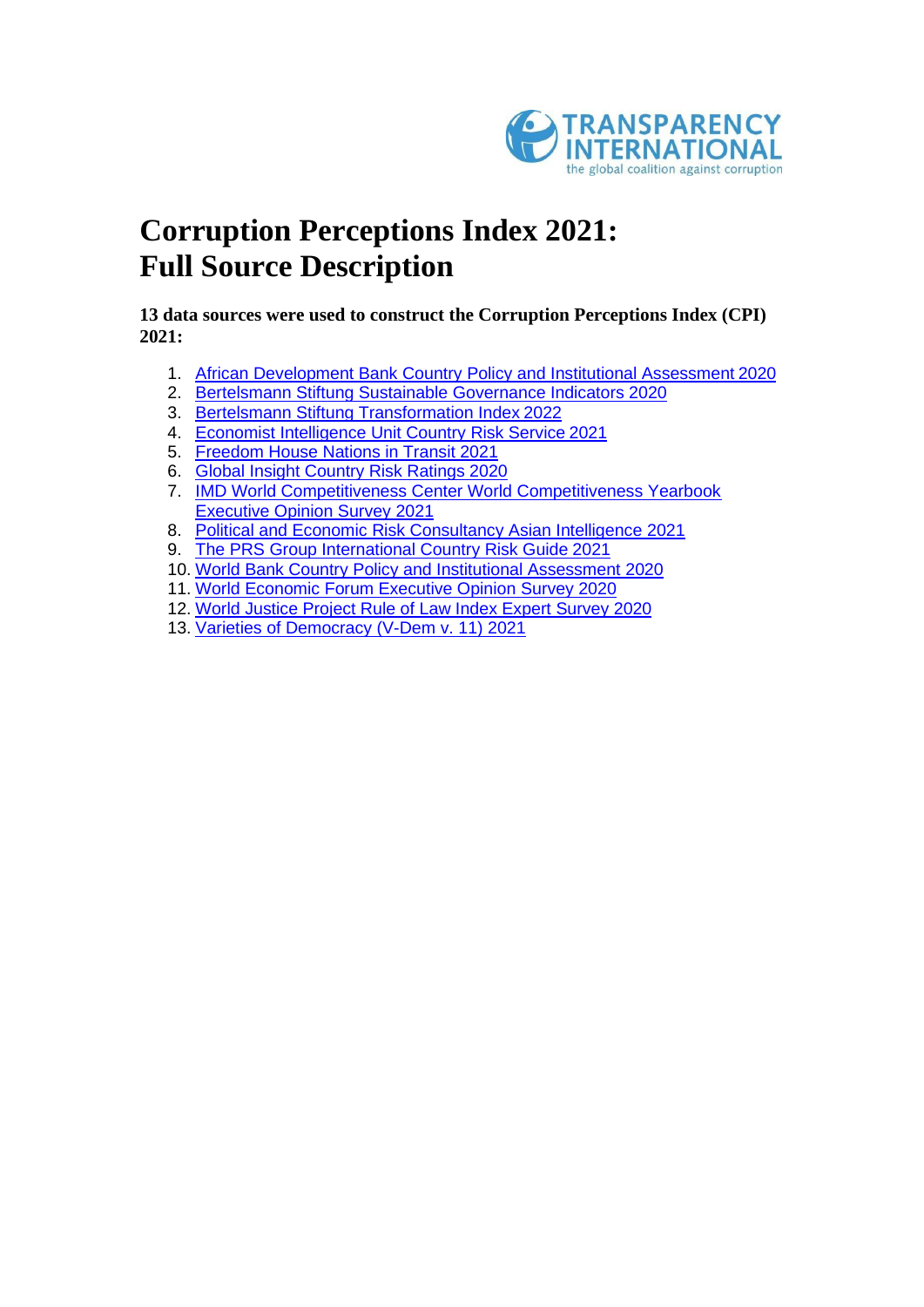

# **Corruption Perceptions Index 2021: Full Source Description**

**13 data sources were used to construct the Corruption Perceptions Index (CPI) 2021:**

- 1. [African Development Bank Country Policy and Institutional Assessment](#page-1-0) 2020
- 2. [Bertelsmann Stiftung Sustainable Governance Indicators](#page-2-0) 2020
- 3. [Bertelsmann Stiftung Transformation Index](#page-3-0) 2022
- 4. [Economist Intelligence Unit Country Risk Service](#page-5-0) 2021
- 5. [Freedom House Nations in Transit](#page-6-0) 2021
- 6. [Global Insight Country Risk Ratings](#page-8-0) 2020
- 7. [IMD World Competitiveness Center World Competitiveness Yearbook](#page-9-0)  [Executive Opinion Survey](#page-9-0) 2021
- 8. [Political and Economic Risk Consultancy Asian Intelligence](#page-10-0) 2021
- 9. [The PRS Group International Country Risk Guide](#page-11-0) 2021
- 10. [World Bank Country Policy and Institutional Assessment](#page-12-0) 2020
- 11. [World Economic Forum Executive Opinion Survey](#page-14-0) 2020
- 12. [World Justice Project Rule of Law Index Expert Survey](#page-15-0) 2020
- 13. [Varieties of Democracy \(V-Dem](#page-16-0) v. 11) 2021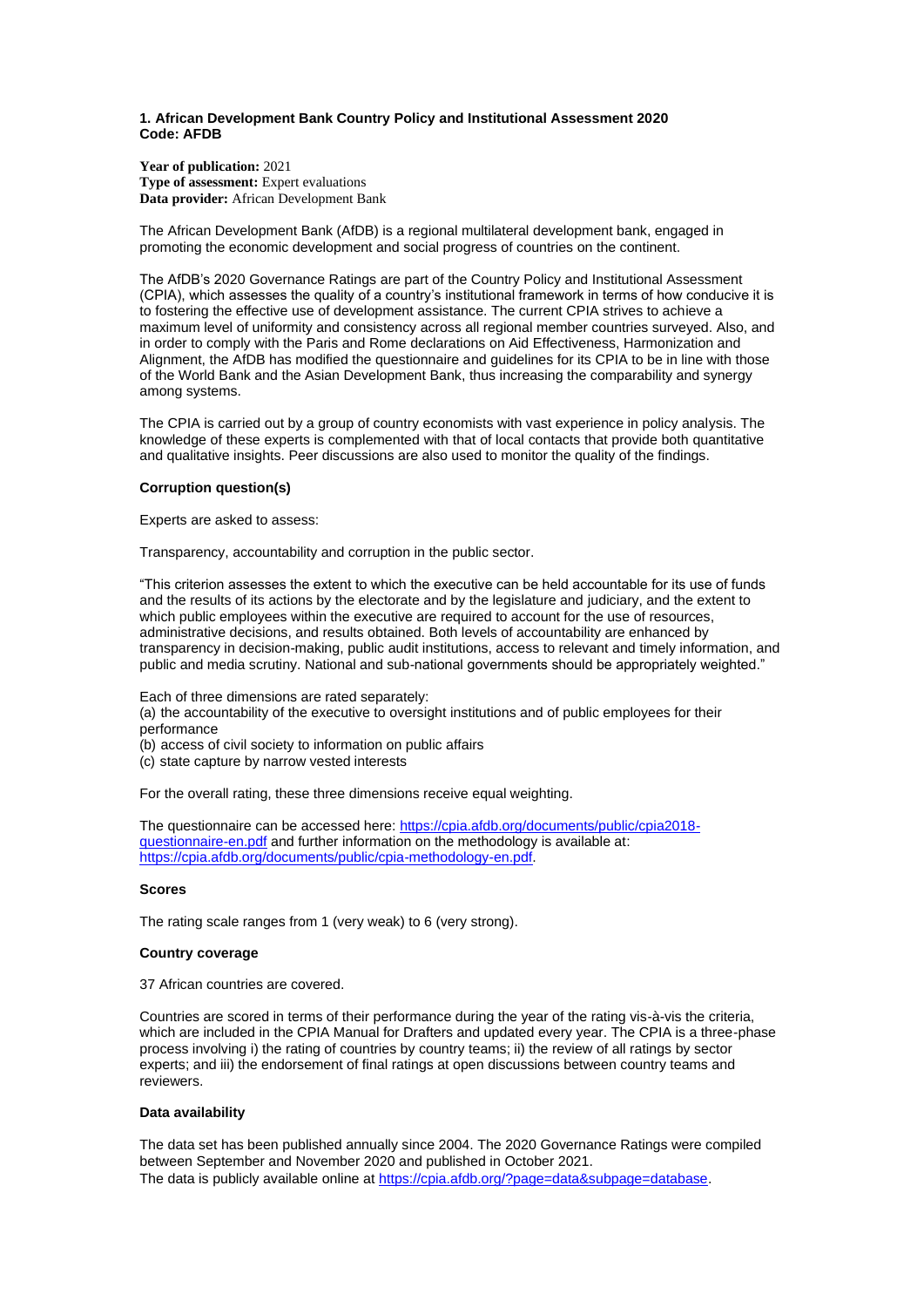#### <span id="page-1-0"></span>**1. African Development Bank Country Policy and Institutional Assessment 2020 Code: AFDB**

**Year of publication:** 2021 **Type of assessment:** Expert evaluations **Data provider:** African Development Bank

The African Development Bank (AfDB) is a regional multilateral development bank, engaged in promoting the economic development and social progress of countries on the continent.

The AfDB's 2020 Governance Ratings are part of the Country Policy and Institutional Assessment (CPIA), which assesses the quality of a country's institutional framework in terms of how conducive it is to fostering the effective use of development assistance. The current CPIA strives to achieve a maximum level of uniformity and consistency across all regional member countries surveyed. Also, and in order to comply with the Paris and Rome declarations on Aid Effectiveness, Harmonization and Alignment, the AfDB has modified the questionnaire and guidelines for its CPIA to be in line with those of the World Bank and the Asian Development Bank, thus increasing the comparability and synergy among systems.

The CPIA is carried out by a group of country economists with vast experience in policy analysis. The knowledge of these experts is complemented with that of local contacts that provide both quantitative and qualitative insights. Peer discussions are also used to monitor the quality of the findings.

## **Corruption question(s)**

Experts are asked to assess:

Transparency, accountability and corruption in the public sector.

"This criterion assesses the extent to which the executive can be held accountable for its use of funds and the results of its actions by the electorate and by the legislature and judiciary, and the extent to which public employees within the executive are required to account for the use of resources, administrative decisions, and results obtained. Both levels of accountability are enhanced by transparency in decision-making, public audit institutions, access to relevant and timely information, and public and media scrutiny. National and sub-national governments should be appropriately weighted."

Each of three dimensions are rated separately:

(a) the accountability of the executive to oversight institutions and of public employees for their performance

(b) access of civil society to information on public affairs

(c) state capture by narrow vested interests

For the overall rating, these three dimensions receive equal weighting.

The questionnaire can be accessed here[: https://cpia.afdb.org/documents/public/cpia2018](https://cpia.afdb.org/documents/public/cpia2018-questionnaire-en.pdf) [questionnaire-en.pdf](https://cpia.afdb.org/documents/public/cpia2018-questionnaire-en.pdf) and further information on the methodology is available at: [https://cpia.afdb.org/documents/public/cpia-methodology-en.pdf.](https://cpia.afdb.org/documents/public/cpia-methodology-en.pdf)

#### **Scores**

The rating scale ranges from 1 (very weak) to 6 (very strong).

## **Country coverage**

37 African countries are covered.

Countries are scored in terms of their performance during the year of the rating vis-à-vis the criteria, which are included in the CPIA Manual for Drafters and updated every year. The CPIA is a three-phase process involving i) the rating of countries by country teams; ii) the review of all ratings by sector experts; and iii) the endorsement of final ratings at open discussions between country teams and reviewers.

# **Data availability**

The data set has been published annually since 2004. The 2020 Governance Ratings were compiled between September and November 2020 and published in October 2021. The data is publicly available online at [https://cpia.afdb.org/?page=data&subpage=database.](https://cpia.afdb.org/?page=data&subpage=database)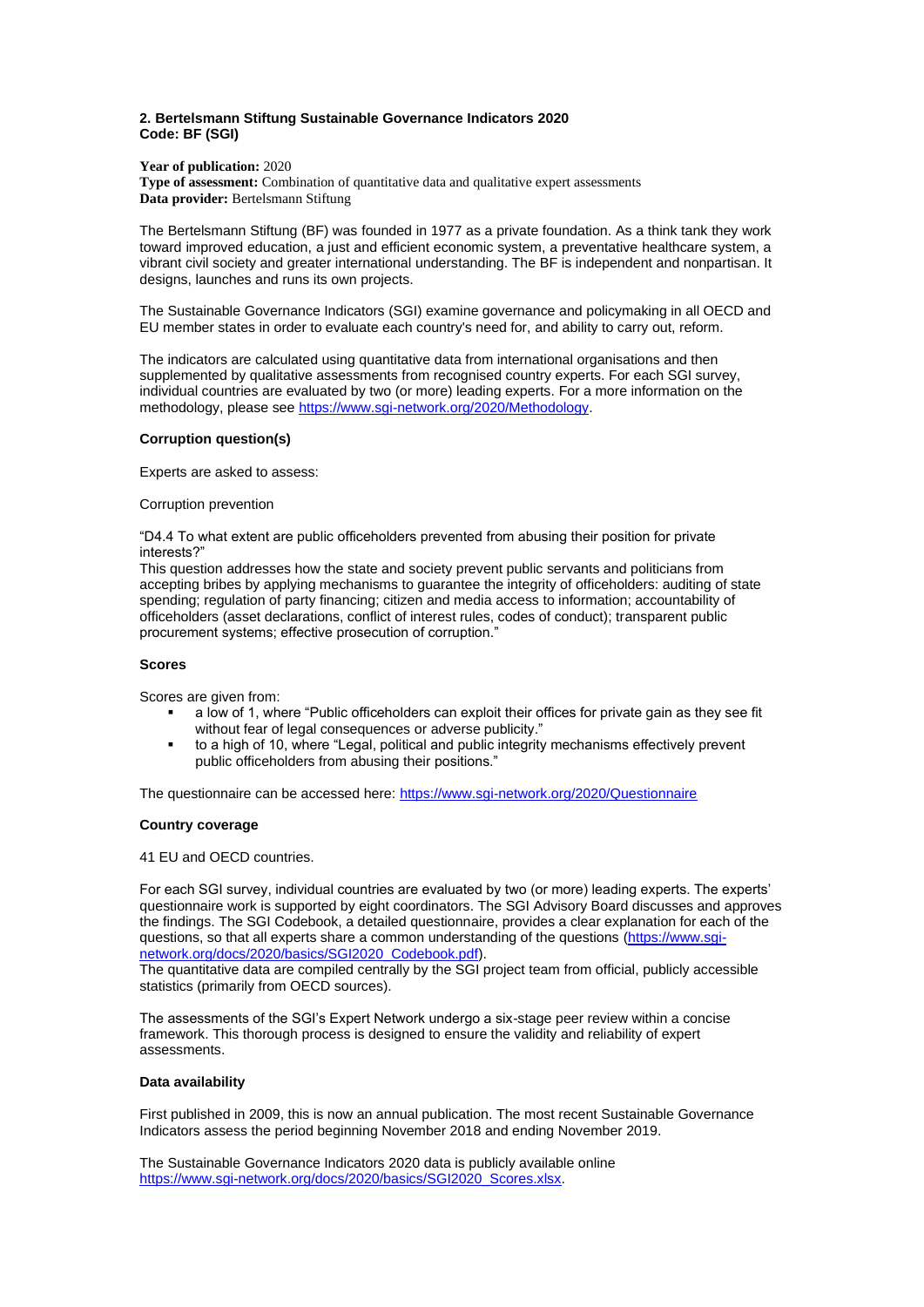#### <span id="page-2-0"></span>**2. Bertelsmann Stiftung Sustainable Governance Indicators 2020 Code: BF (SGI)**

**Year of publication:** 2020 **Type of assessment:** Combination of quantitative data and qualitative expert assessments **Data provider:** Bertelsmann Stiftung

The Bertelsmann Stiftung (BF) was founded in 1977 as a private foundation. As a think tank they work toward improved education, a just and efficient economic system, a preventative healthcare system, a vibrant civil society and greater international understanding. The BF is independent and nonpartisan. It designs, launches and runs its own projects.

The Sustainable Governance Indicators (SGI) examine governance and policymaking in all OECD and EU member states in order to evaluate each country's need for, and ability to carry out, reform.

The indicators are calculated using quantitative data from international organisations and then supplemented by qualitative assessments from recognised country experts. For each SGI survey, individual countries are evaluated by two (or more) leading experts. For a more information on the methodology, please se[e https://www.sgi-network.org/2020/Methodology.](https://www.sgi-network.org/2020/Methodology)

# **Corruption question(s)**

Experts are asked to assess:

#### Corruption prevention

"D4.4 To what extent are public officeholders prevented from abusing their position for private interests?"

This question addresses how the state and society prevent public servants and politicians from accepting bribes by applying mechanisms to guarantee the integrity of officeholders: auditing of state spending; regulation of party financing; citizen and media access to information; accountability of officeholders (asset declarations, conflict of interest rules, codes of conduct); transparent public procurement systems; effective prosecution of corruption."

## **Scores**

Scores are given from:

- a low of 1, where "Public officeholders can exploit their offices for private gain as they see fit without fear of legal consequences or adverse publicity."
- to a high of 10, where "Legal, political and public integrity mechanisms effectively prevent public officeholders from abusing their positions."

The questionnaire can be accessed here[: https://www.sgi-network.org/2020/Questionnaire](https://www.sgi-network.org/2020/Questionnaire)

## **Country coverage**

41 EU and OECD countries.

For each SGI survey, individual countries are evaluated by two (or more) leading experts. The experts' questionnaire work is supported by eight coordinators. The SGI Advisory Board discusses and approves the findings. The SGI Codebook, a detailed questionnaire, provides a clear explanation for each of the questions, so that all experts share a common understanding of the questions [\(https://www.sgi](https://www.sgi-network.org/docs/2020/basics/SGI2020_Codebook.pdf)[network.org/docs/2020/basics/SGI2020\\_Codebook.pdf\)](https://www.sgi-network.org/docs/2020/basics/SGI2020_Codebook.pdf).

The quantitative data are compiled centrally by the SGI project team from official, publicly accessible statistics (primarily from OECD sources).

The assessments of the SGI's Expert Network undergo a six-stage peer review within a concise framework. This thorough process is designed to ensure the validity and reliability of expert assessments.

## **Data availability**

First published in 2009, this is now an annual publication. The most recent Sustainable Governance Indicators assess the period beginning November 2018 and ending November 2019.

The Sustainable Governance Indicators 2020 data is publicly available online [https://www.sgi-network.org/docs/2020/basics/SGI2020\\_Scores.xlsx.](https://www.sgi-network.org/docs/2020/basics/SGI2020_Scores.xlsx)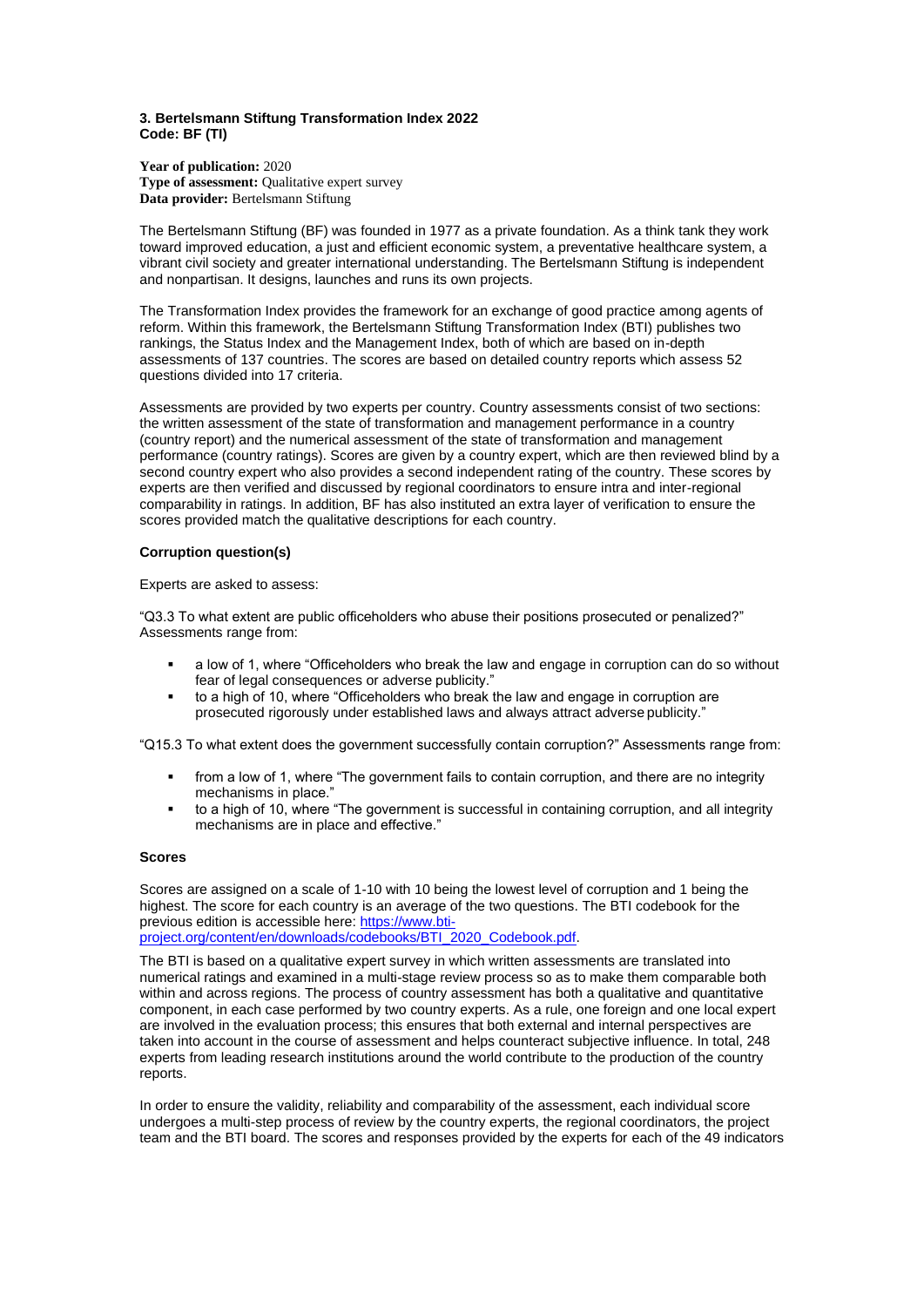## <span id="page-3-0"></span>**3. Bertelsmann Stiftung Transformation Index 2022 Code: BF (TI)**

**Year of publication:** 2020 **Type of assessment:** Qualitative expert survey **Data provider:** Bertelsmann Stiftung

The Bertelsmann Stiftung (BF) was founded in 1977 as a private foundation. As a think tank they work toward improved education, a just and efficient economic system, a preventative healthcare system, a vibrant civil society and greater international understanding. The Bertelsmann Stiftung is independent and nonpartisan. It designs, launches and runs its own projects.

The Transformation Index provides the framework for an exchange of good practice among agents of reform. Within this framework, the Bertelsmann Stiftung Transformation Index (BTI) publishes two rankings, the Status Index and the Management Index, both of which are based on in-depth assessments of 137 countries. The scores are based on detailed country reports which assess 52 questions divided into 17 criteria.

Assessments are provided by two experts per country. Country assessments consist of two sections: the written assessment of the state of transformation and management performance in a country (country report) and the numerical assessment of the state of transformation and management performance (country ratings). Scores are given by a country expert, which are then reviewed blind by a second country expert who also provides a second independent rating of the country. These scores by experts are then verified and discussed by regional coordinators to ensure intra and inter-regional comparability in ratings. In addition, BF has also instituted an extra layer of verification to ensure the scores provided match the qualitative descriptions for each country.

## **Corruption question(s)**

#### Experts are asked to assess:

"Q3.3 To what extent are public officeholders who abuse their positions prosecuted or penalized?" Assessments range from:

- a low of 1, where "Officeholders who break the law and engage in corruption can do so without fear of legal consequences or adverse publicity."
- to a high of 10, where "Officeholders who break the law and engage in corruption are prosecuted rigorously under established laws and always attract adverse publicity."

"Q15.3 To what extent does the government successfully contain corruption?" Assessments range from:

- from a low of 1, where "The government fails to contain corruption, and there are no integrity mechanisms in place."
- to a high of 10, where "The government is successful in containing corruption, and all integrity mechanisms are in place and effective."

## **Scores**

Scores are assigned on a scale of 1-10 with 10 being the lowest level of corruption and 1 being the highest. The score for each country is an average of the two questions. The BTI codebook for the previous edition is accessible here: [https://www.bti-](https://www.bti-project.org/content/en/downloads/codebooks/BTI_2020_Codebook.pdf)

[project.org/content/en/downloads/codebooks/BTI\\_2020\\_Codebook.pdf.](https://www.bti-project.org/content/en/downloads/codebooks/BTI_2020_Codebook.pdf)

The BTI is based on a qualitative expert survey in which written assessments are translated into numerical ratings and examined in a multi-stage review process so as to make them comparable both within and across regions. The process of country assessment has both a qualitative and quantitative component, in each case performed by two country experts. As a rule, one foreign and one local expert are involved in the evaluation process; this ensures that both external and internal perspectives are taken into account in the course of assessment and helps counteract subjective influence. In total, 248 experts from leading research institutions around the world contribute to the production of the country reports.

In order to ensure the validity, reliability and comparability of the assessment, each individual score undergoes a multi-step process of review by the country experts, the regional coordinators, the project team and the BTI board. The scores and responses provided by the experts for each of the 49 indicators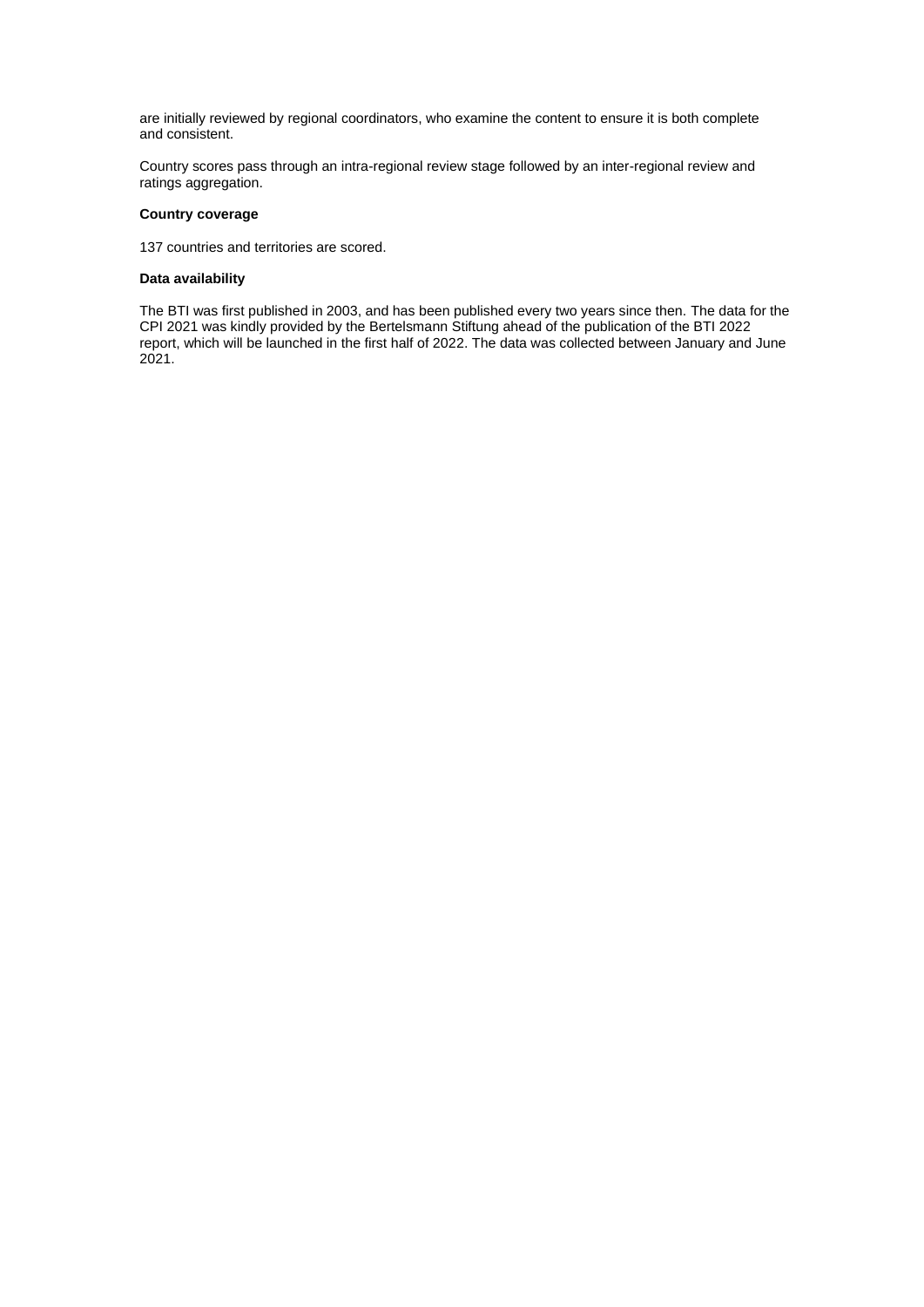are initially reviewed by regional coordinators, who examine the content to ensure it is both complete and consistent.

Country scores pass through an intra-regional review stage followed by an inter-regional review and ratings aggregation.

# **Country coverage**

137 countries and territories are scored.

## **Data availability**

The BTI was first published in 2003, and has been published every two years since then. The data for the CPI 2021 was kindly provided by the Bertelsmann Stiftung ahead of the publication of the BTI 2022 report, which will be launched in the first half of 2022. The data was collected between January and June 2021.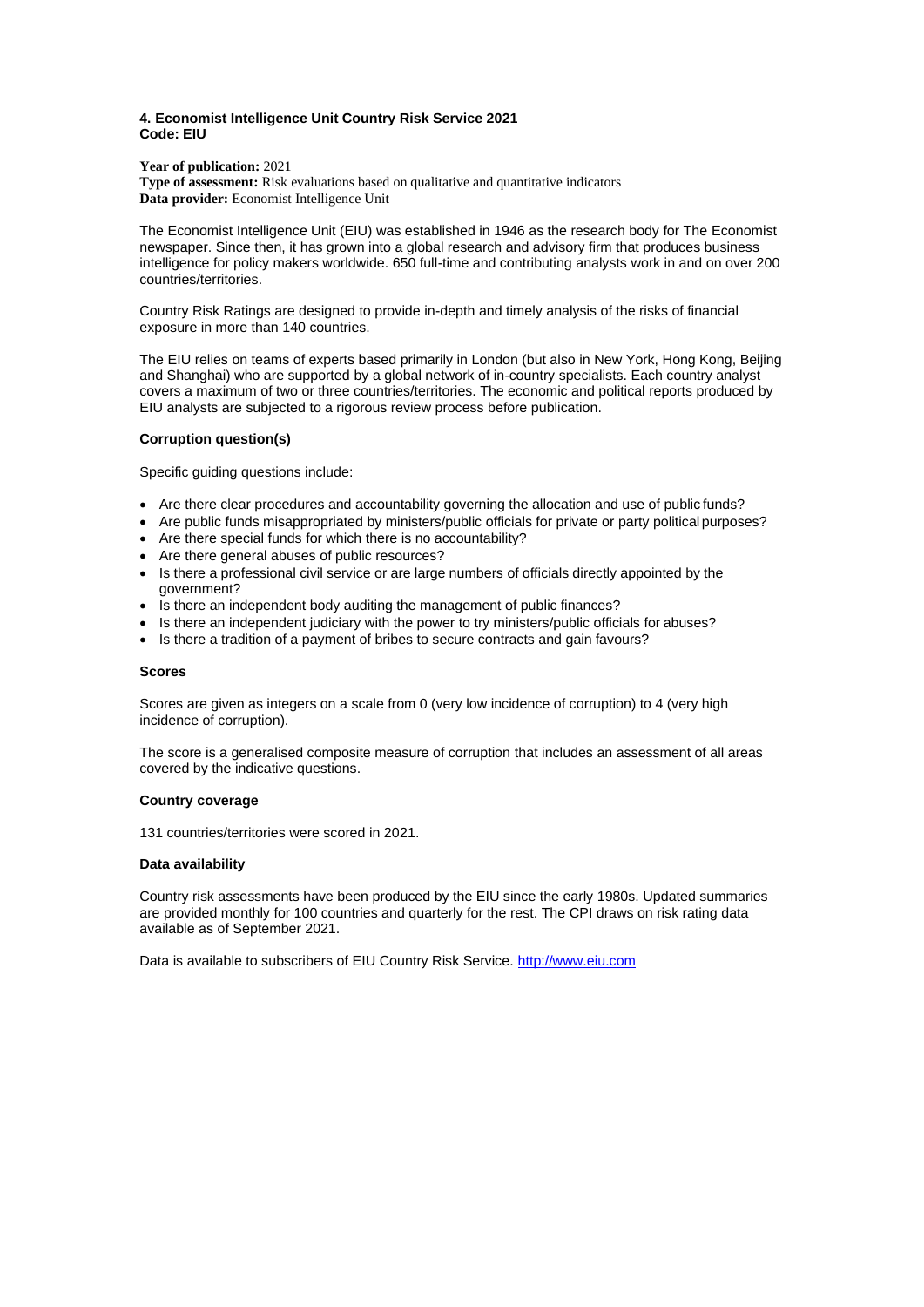## <span id="page-5-0"></span>**4. Economist Intelligence Unit Country Risk Service 2021 Code: EIU**

**Year of publication:** 2021

**Type of assessment:** Risk evaluations based on qualitative and quantitative indicators **Data provider:** Economist Intelligence Unit

The Economist Intelligence Unit (EIU) was established in 1946 as the research body for The Economist newspaper. Since then, it has grown into a global research and advisory firm that produces business intelligence for policy makers worldwide. 650 full-time and contributing analysts work in and on over 200 countries/territories.

Country Risk Ratings are designed to provide in-depth and timely analysis of the risks of financial exposure in more than 140 countries.

The EIU relies on teams of experts based primarily in London (but also in New York, Hong Kong, Beijing and Shanghai) who are supported by a global network of in-country specialists. Each country analyst covers a maximum of two or three countries/territories. The economic and political reports produced by EIU analysts are subjected to a rigorous review process before publication.

## **Corruption question(s)**

Specific guiding questions include:

- Are there clear procedures and accountability governing the allocation and use of public funds?
- Are public funds misappropriated by ministers/public officials for private or party political purposes?
- Are there special funds for which there is no accountability?
- Are there general abuses of public resources?
- Is there a professional civil service or are large numbers of officials directly appointed by the government?
- Is there an independent body auditing the management of public finances?
- Is there an independent judiciary with the power to try ministers/public officials for abuses?
- Is there a tradition of a payment of bribes to secure contracts and gain favours?

#### **Scores**

Scores are given as integers on a scale from 0 (very low incidence of corruption) to 4 (very high incidence of corruption).

The score is a generalised composite measure of corruption that includes an assessment of all areas covered by the indicative questions.

#### **Country coverage**

131 countries/territories were scored in 2021.

#### **Data availability**

Country risk assessments have been produced by the EIU since the early 1980s. Updated summaries are provided monthly for 100 countries and quarterly for the rest. The CPI draws on risk rating data available as of September 2021.

Data is available to subscribers of EIU Country Risk Service[. http://www.eiu.com](http://www.eiu.com/)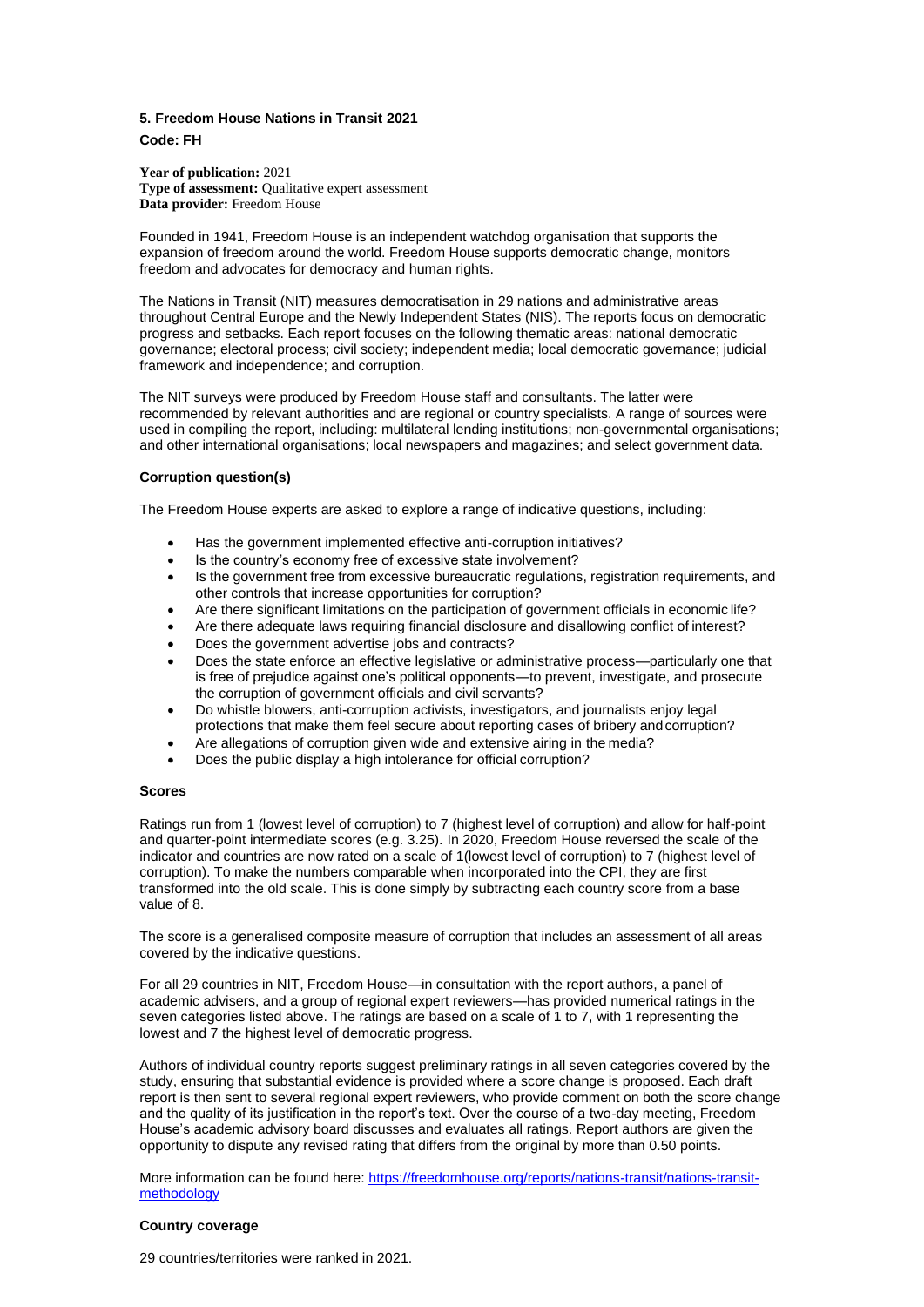# <span id="page-6-0"></span>**5. Freedom House Nations in Transit 2021 Code: FH**

**Year of publication:** 2021 **Type of assessment:** Qualitative expert assessment **Data provider:** Freedom House

Founded in 1941, Freedom House is an independent watchdog organisation that supports the expansion of freedom around the world. Freedom House supports democratic change, monitors freedom and advocates for democracy and human rights.

The Nations in Transit (NIT) measures democratisation in 29 nations and administrative areas throughout Central Europe and the Newly Independent States (NIS). The reports focus on democratic progress and setbacks. Each report focuses on the following thematic areas: national democratic governance; electoral process; civil society; independent media; local democratic governance; judicial framework and independence; and corruption.

The NIT surveys were produced by Freedom House staff and consultants. The latter were recommended by relevant authorities and are regional or country specialists. A range of sources were used in compiling the report, including: multilateral lending institutions; non-governmental organisations; and other international organisations; local newspapers and magazines; and select government data.

## **Corruption question(s)**

The Freedom House experts are asked to explore a range of indicative questions, including:

- Has the government implemented effective anti-corruption initiatives?
- Is the country's economy free of excessive state involvement?
- Is the government free from excessive bureaucratic regulations, registration requirements, and other controls that increase opportunities for corruption?
- Are there significant limitations on the participation of government officials in economic life?
- Are there adequate laws requiring financial disclosure and disallowing conflict of interest?
- Does the government advertise jobs and contracts?
- Does the state enforce an effective legislative or administrative process—particularly one that is free of prejudice against one's political opponents—to prevent, investigate, and prosecute the corruption of government officials and civil servants?
- Do whistle blowers, anti-corruption activists, investigators, and journalists enjoy legal protections that make them feel secure about reporting cases of bribery and corruption?
- Are allegations of corruption given wide and extensive airing in the media?
- Does the public display a high intolerance for official corruption?

#### **Scores**

Ratings run from 1 (lowest level of corruption) to 7 (highest level of corruption) and allow for half-point and quarter-point intermediate scores (e.g. 3.25). In 2020, Freedom House reversed the scale of the indicator and countries are now rated on a scale of 1(lowest level of corruption) to 7 (highest level of corruption). To make the numbers comparable when incorporated into the CPI, they are first transformed into the old scale. This is done simply by subtracting each country score from a base value of 8.

The score is a generalised composite measure of corruption that includes an assessment of all areas covered by the indicative questions.

For all 29 countries in NIT, Freedom House—in consultation with the report authors, a panel of academic advisers, and a group of regional expert reviewers—has provided numerical ratings in the seven categories listed above. The ratings are based on a scale of 1 to 7, with 1 representing the lowest and 7 the highest level of democratic progress.

Authors of individual country reports suggest preliminary ratings in all seven categories covered by the study, ensuring that substantial evidence is provided where a score change is proposed. Each draft report is then sent to several regional expert reviewers, who provide comment on both the score change and the quality of its justification in the report's text. Over the course of a two-day meeting, Freedom House's academic advisory board discusses and evaluates all ratings. Report authors are given the opportunity to dispute any revised rating that differs from the original by more than 0.50 points.

More information can be found here[: https://freedomhouse.org/reports/nations-transit/nations-transit](https://freedomhouse.org/reports/nations-transit/nations-transit-methodology)[methodology](https://freedomhouse.org/reports/nations-transit/nations-transit-methodology)

#### **Country coverage**

29 countries/territories were ranked in 2021.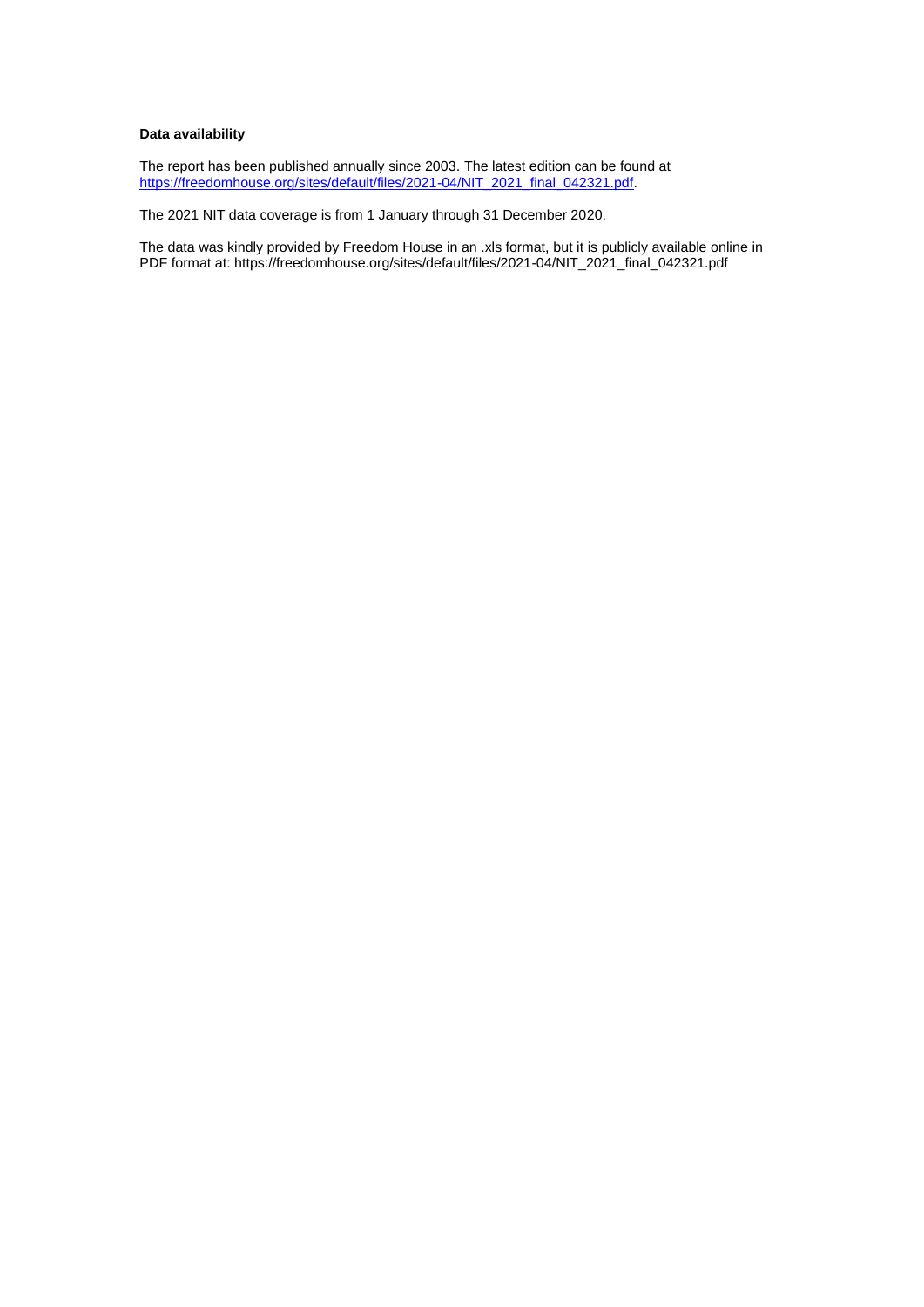# **Data availability**

The report has been published annually since 2003. The latest edition can be found at [https://freedomhouse.org/sites/default/files/2021-04/NIT\\_2021\\_final\\_042321.pdf.](https://freedomhouse.org/sites/default/files/2021-04/NIT_2021_final_042321.pdf)

The 2021 NIT data coverage is from 1 January through 31 December 2020.

The data was kindly provided by Freedom House in an .xls format, but it is publicly available online in PDF format at: https://freedomhouse.org/sites/default/files/2021-04/NIT\_2021\_final\_042321.pdf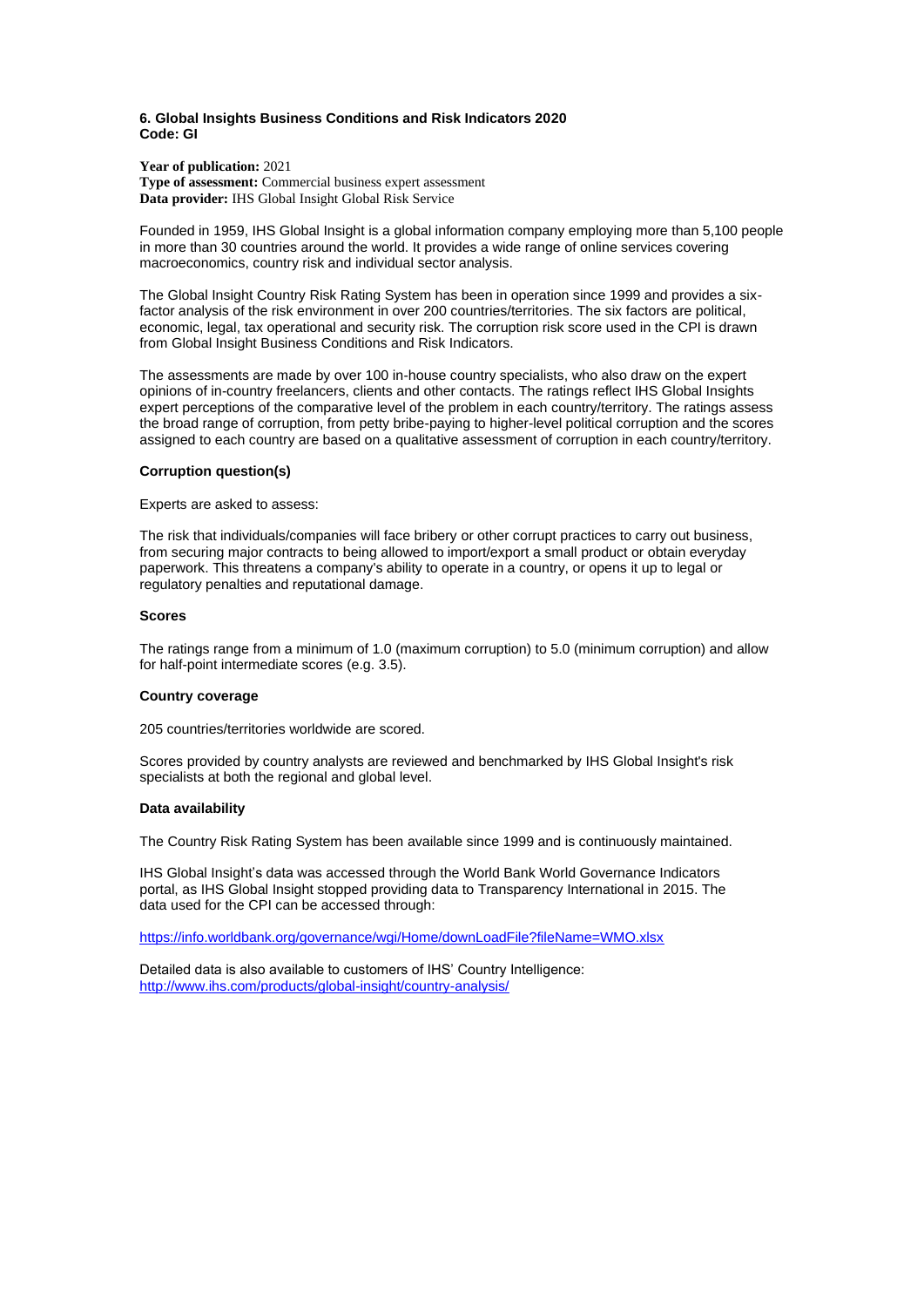#### <span id="page-8-0"></span>**6. Global Insights Business Conditions and Risk Indicators 2020 Code: GI**

**Year of publication:** 2021 **Type of assessment:** Commercial business expert assessment **Data provider:** IHS Global Insight Global Risk Service

Founded in 1959, IHS Global Insight is a global information company employing more than 5,100 people in more than 30 countries around the world. It provides a wide range of online services covering macroeconomics, country risk and individual sector analysis.

The Global Insight Country Risk Rating System has been in operation since 1999 and provides a sixfactor analysis of the risk environment in over 200 countries/territories. The six factors are political, economic, legal, tax operational and security risk. The corruption risk score used in the CPI is drawn from Global Insight Business Conditions and Risk Indicators.

The assessments are made by over 100 in-house country specialists, who also draw on the expert opinions of in-country freelancers, clients and other contacts. The ratings reflect IHS Global Insights expert perceptions of the comparative level of the problem in each country/territory. The ratings assess the broad range of corruption, from petty bribe-paying to higher-level political corruption and the scores assigned to each country are based on a qualitative assessment of corruption in each country/territory.

## **Corruption question(s)**

Experts are asked to assess:

The risk that individuals/companies will face bribery or other corrupt practices to carry out business, from securing major contracts to being allowed to import/export a small product or obtain everyday paperwork. This threatens a company's ability to operate in a country, or opens it up to legal or regulatory penalties and reputational damage.

#### **Scores**

The ratings range from a minimum of 1.0 (maximum corruption) to 5.0 (minimum corruption) and allow for half-point intermediate scores (e.g. 3.5).

#### **Country coverage**

205 countries/territories worldwide are scored.

Scores provided by country analysts are reviewed and benchmarked by IHS Global Insight's risk specialists at both the regional and global level.

#### **Data availability**

The Country Risk Rating System has been available since 1999 and is continuously maintained.

IHS Global Insight's data was accessed through the World Bank World Governance Indicators portal, as IHS Global Insight stopped providing data to Transparency International in 2015. The data used for the CPI can be accessed through:

<https://info.worldbank.org/governance/wgi/Home/downLoadFile?fileName=WMO.xlsx>

Detailed data is also available to customers of IHS' Country Intelligence: <http://www.ihs.com/products/global-insight/country-analysis/>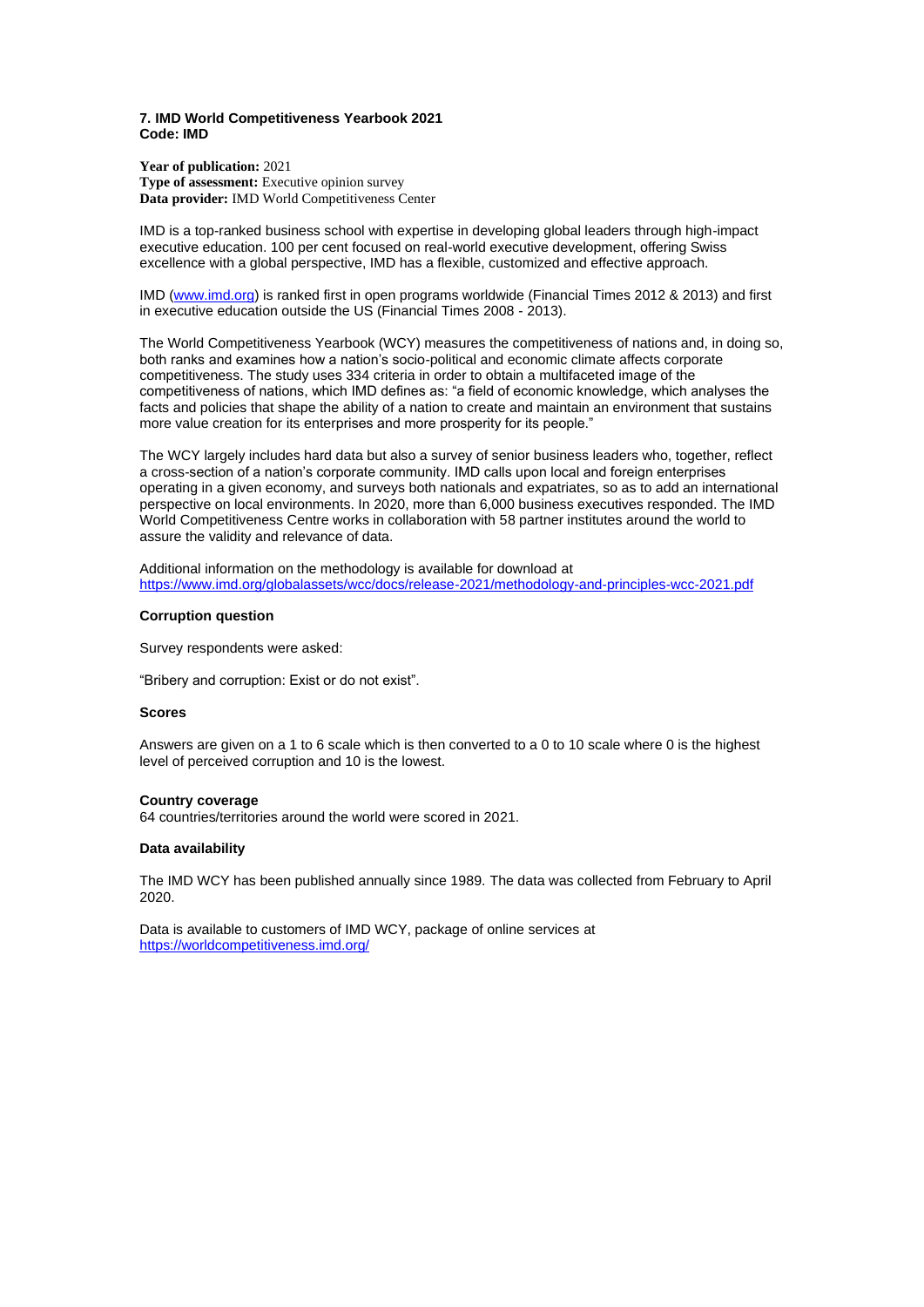#### <span id="page-9-0"></span>**7. IMD World Competitiveness Yearbook 2021 Code: IMD**

**Year of publication:** 2021 **Type of assessment:** Executive opinion survey Data provider: **IMD** World Competitiveness Center

IMD is a top-ranked business school with expertise in developing global leaders through high-impact executive education. 100 per cent focused on real-world executive development, offering Swiss excellence with a global perspective, IMD has a flexible, customized and effective approach.

IMD [\(www.imd.org\)](http://www.imd.org/) is ranked first in open programs worldwide (Financial Times 2012 & 2013) and first in executive education outside the US (Financial Times 2008 - 2013).

The World Competitiveness Yearbook (WCY) measures the competitiveness of nations and, in doing so, both ranks and examines how a nation's socio-political and economic climate affects corporate competitiveness. The study uses 334 criteria in order to obtain a multifaceted image of the competitiveness of nations, which IMD defines as: "a field of economic knowledge, which analyses the facts and policies that shape the ability of a nation to create and maintain an environment that sustains more value creation for its enterprises and more prosperity for its people."

The WCY largely includes hard data but also a survey of senior business leaders who, together, reflect a cross-section of a nation's corporate community. IMD calls upon local and foreign enterprises operating in a given economy, and surveys both nationals and expatriates, so as to add an international perspective on local environments. In 2020, more than 6,000 business executives responded. The IMD World Competitiveness Centre works in collaboration with 58 partner institutes around the world to assure the validity and relevance of data.

Additional information on the methodology is available for download at <https://www.imd.org/globalassets/wcc/docs/release-2021/methodology-and-principles-wcc-2021.pdf>

#### **Corruption question**

Survey respondents were asked:

"Bribery and corruption: Exist or do not exist".

#### **Scores**

Answers are given on a 1 to 6 scale which is then converted to a 0 to 10 scale where 0 is the highest level of perceived corruption and 10 is the lowest.

#### **Country coverage**

64 countries/territories around the world were scored in 2021.

## **Data availability**

The IMD WCY has been published annually since 1989. The data was collected from February to April 2020.

Data is available to customers of IMD WCY, package of online services at <https://worldcompetitiveness.imd.org/>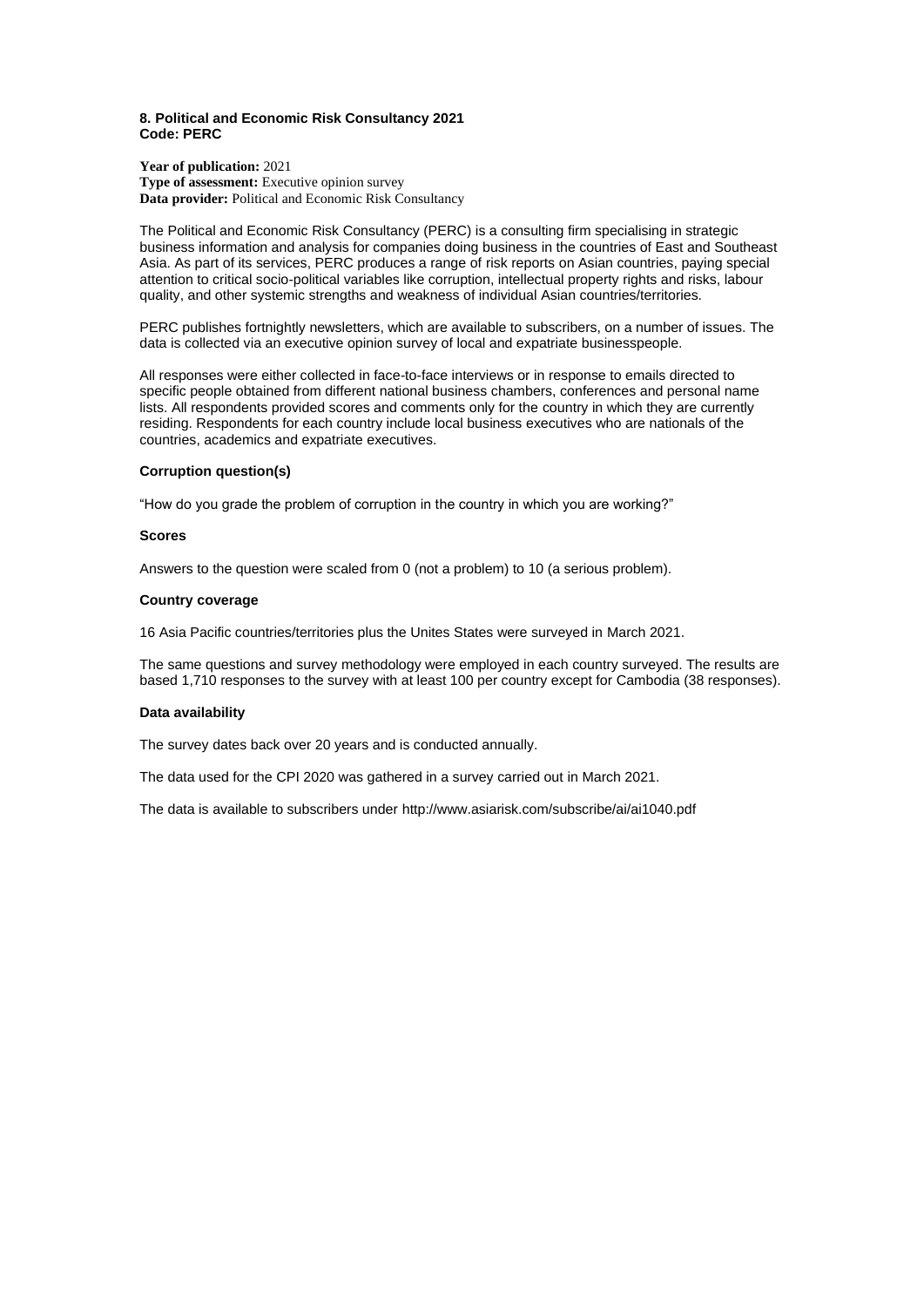## <span id="page-10-0"></span>**8. Political and Economic Risk Consultancy 2021 Code: PERC**

**Year of publication:** 2021 **Type of assessment:** Executive opinion survey Data provider: Political and Economic Risk Consultancy

The Political and Economic Risk Consultancy (PERC) is a consulting firm specialising in strategic business information and analysis for companies doing business in the countries of East and Southeast Asia. As part of its services, PERC produces a range of [risk reports o](http://www.asiarisk.com/percrpts.html)n Asian countries, paying special attention to critical socio-political variables like corruption, intellectual property rights and risks, labour quality, and other systemic strengths and weakness of individual Asian countries/territories.

PERC publishes fortnightly newsletters, which are available to subscribers, on a number of issues. The data is collected via an executive opinion survey of local and expatriate businesspeople.

All responses were either collected in face-to-face interviews or in response to emails directed to specific people obtained from different national business chambers, conferences and personal name lists. All respondents provided scores and comments only for the country in which they are currently residing. Respondents for each country include local business executives who are nationals of the countries, academics and expatriate executives.

# **Corruption question(s)**

"How do you grade the problem of corruption in the country in which you are working?"

## **Scores**

Answers to the question were scaled from 0 (not a problem) to 10 (a serious problem).

#### **Country coverage**

16 Asia Pacific countries/territories plus the Unites States were surveyed in March 2021.

The same questions and survey methodology were employed in each country surveyed. The results are based 1,710 responses to the survey with at least 100 per country except for Cambodia (38 responses).

## **Data availability**

The survey dates back over 20 years and is conducted annually.

The data used for the CPI 2020 was gathered in a survey carried out in March 2021.

The data is available to subscribers under http://www.asiarisk.com/subscribe/ai/ai1040.pdf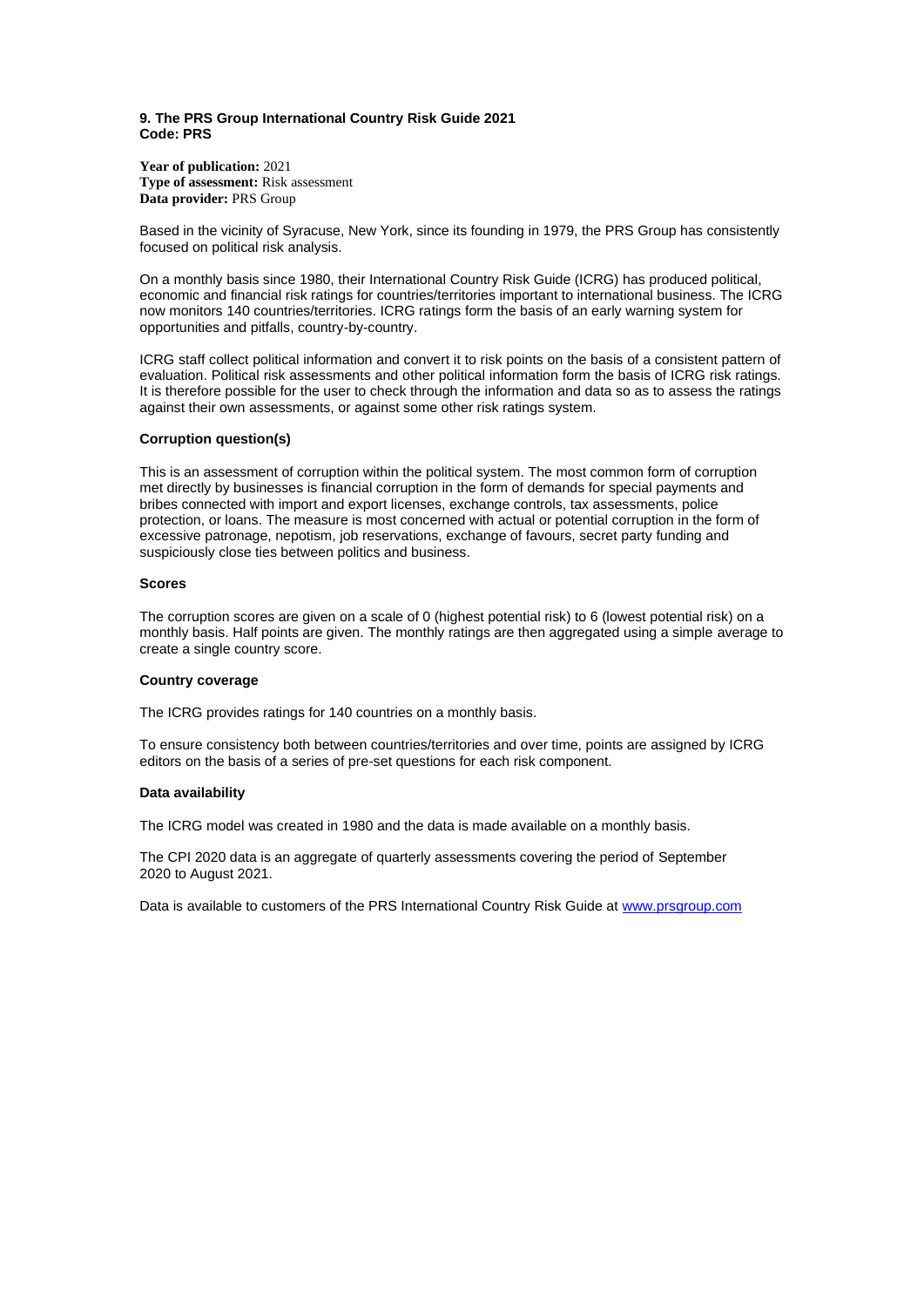## <span id="page-11-0"></span>**9. The PRS Group International Country Risk Guide 2021 Code: PRS**

**Year of publication:** 2021 **Type of assessment:** Risk assessment **Data provider:** PRS Group

Based in the vicinity of Syracuse, New York, since its founding in 1979, the PRS Group has consistently focused on political risk analysis.

On a monthly basis since 1980, their International Country Risk Guide (ICRG) has produced political, economic and financial risk ratings for countries/territories important to international business. The ICRG now monitors 140 countries/territories. ICRG ratings form the basis of an early warning system for opportunities and pitfalls, country-by-country.

ICRG staff collect political information and convert it to risk points on the basis of a consistent pattern of evaluation. Political risk assessments and other political information form the basis of ICRG risk ratings. It is therefore possible for the user to check through the information and data so as to assess the ratings against their own assessments, or against some other risk ratings system.

#### **Corruption question(s)**

This is an assessment of corruption within the political system. The most common form of corruption met directly by businesses is financial corruption in the form of demands for special payments and bribes connected with import and export licenses, exchange controls, tax assessments, police protection, or loans. The measure is most concerned with actual or potential corruption in the form of excessive patronage, nepotism, job reservations, exchange of favours, secret party funding and suspiciously close ties between politics and business.

## **Scores**

The corruption scores are given on a scale of 0 (highest potential risk) to 6 (lowest potential risk) on a monthly basis. Half points are given. The monthly ratings are then aggregated using a simple average to create a single country score.

## **Country coverage**

The ICRG provides ratings for 140 countries on a monthly basis.

To ensure consistency both between countries/territories and over time, points are assigned by ICRG editors on the basis of a series of pre-set questions for each risk component.

## **Data availability**

The ICRG model was created in 1980 and the data is made available on a monthly basis.

The CPI 2020 data is an aggregate of quarterly assessments covering the period of September 2020 to August 2021.

Data is available to customers of the PRS International Country Risk Guide at [www.prsgroup.com](http://www.prsgroup.com/)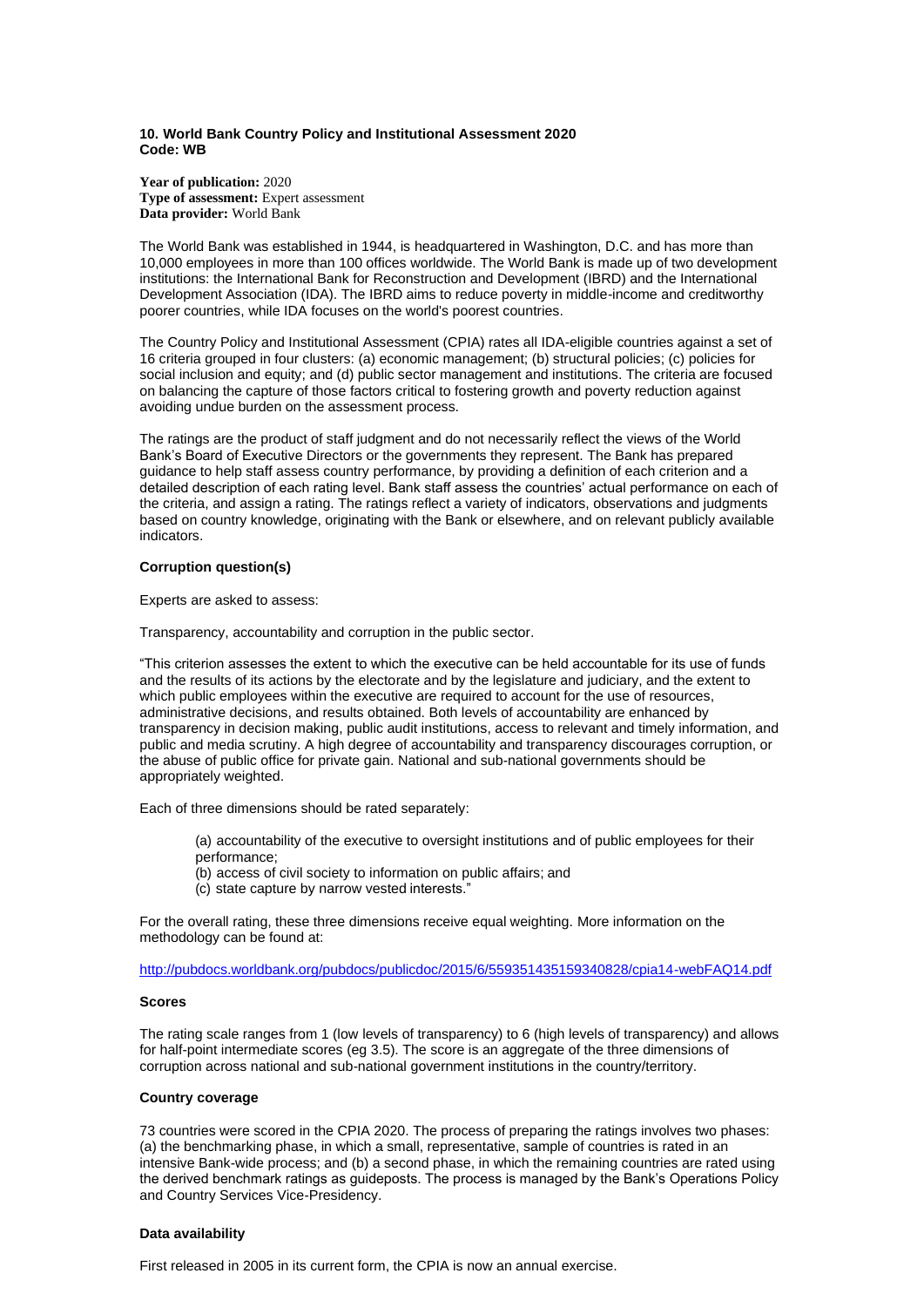#### <span id="page-12-0"></span>**10. World Bank Country Policy and Institutional Assessment 2020 Code: WB**

**Year of publication:** 2020 **Type of assessment:** Expert assessment **Data provider:** World Bank

The World Bank was established in 1944, is headquartered in Washington, D.C. and has more than 10,000 employees in more than 100 offices worldwide. The World Bank is made up of two development institutions: the International Bank for Reconstruction and Development (IBRD) and the International Development Association (IDA). The IBRD aims to reduce poverty in middle-income and creditworthy poorer countries, while IDA focuses on the world's poorest countries.

The Country Policy and Institutional Assessment (CPIA) rates all IDA-eligible countries against a set of 16 criteria grouped in four clusters: (a) economic management; (b) structural policies; (c) policies for social inclusion and equity; and (d) public sector management and institutions. The criteria are focused on balancing the capture of those factors critical to fostering growth and poverty reduction against avoiding undue burden on the assessment process.

The ratings are the product of staff judgment and do not necessarily reflect the views of the World Bank's Board of Executive Directors or the governments they represent. The Bank has prepared guidance to help staff assess country performance, by providing a definition of each criterion and a detailed description of each rating level. Bank staff assess the countries' actual performance on each of the criteria, and assign a rating. The ratings reflect a variety of indicators, observations and judgments based on country knowledge, originating with the Bank or elsewhere, and on relevant publicly available indicators.

# **Corruption question(s)**

Experts are asked to assess:

Transparency, accountability and corruption in the public sector.

"This criterion assesses the extent to which the executive can be held accountable for its use of funds and the results of its actions by the electorate and by the legislature and judiciary, and the extent to which public employees within the executive are required to account for the use of resources, administrative decisions, and results obtained. Both levels of accountability are enhanced by transparency in decision making, public audit institutions, access to relevant and timely information, and public and media scrutiny. A high degree of accountability and transparency discourages corruption, or the abuse of public office for private gain. National and sub-national governments should be appropriately weighted.

Each of three dimensions should be rated separately:

- (a) accountability of the executive to oversight institutions and of public employees for their performance;
- (b) access of civil society to information on public affairs; and
- (c) state capture by narrow vested interests."

For the overall rating, these three dimensions receive equal weighting. More information on the methodology can be found at:

<http://pubdocs.worldbank.org/pubdocs/publicdoc/2015/6/559351435159340828/cpia14-webFAQ14.pdf>

## **Scores**

The rating scale ranges from 1 (low levels of transparency) to 6 (high levels of transparency) and allows for half-point intermediate scores (eg 3.5). The score is an aggregate of the three dimensions of corruption across national and sub-national government institutions in the country/territory.

## **Country coverage**

73 countries were scored in the CPIA 2020. The process of preparing the ratings involves two phases: (a) the benchmarking phase, in which a small, representative, sample of countries is rated in an intensive Bank-wide process; and (b) a second phase, in which the remaining countries are rated using the derived benchmark ratings as guideposts. The process is managed by the Bank's Operations Policy and Country Services Vice-Presidency.

## **Data availability**

First released in 2005 in its current form, the CPIA is now an annual exercise.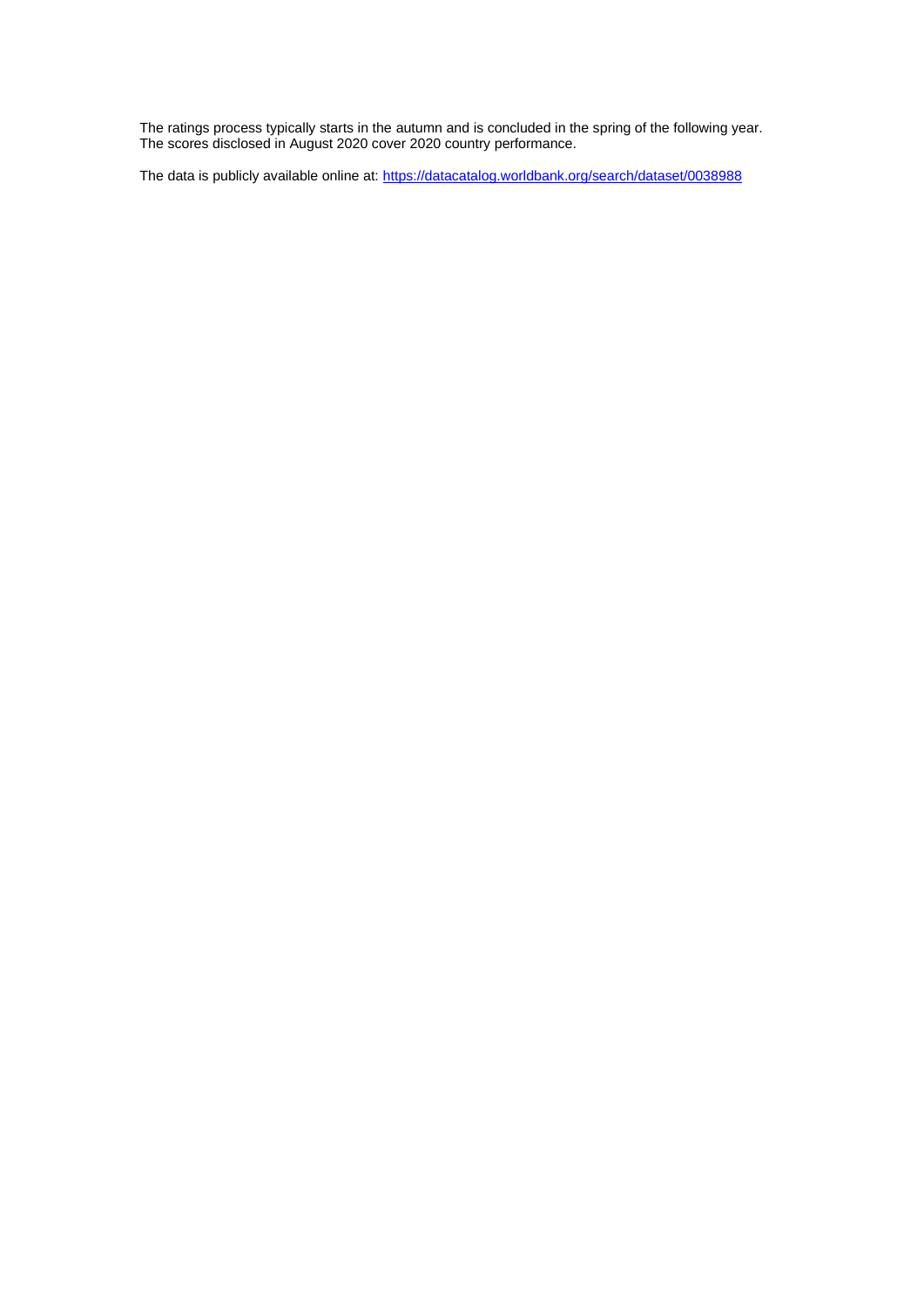The ratings process typically starts in the autumn and is concluded in the spring of the following year. The scores disclosed in August 2020 cover 2020 country performance.

The data is publicly available online at[: https://datacatalog.worldbank.org/search/dataset/0038988](https://datacatalog.worldbank.org/search/dataset/0038988)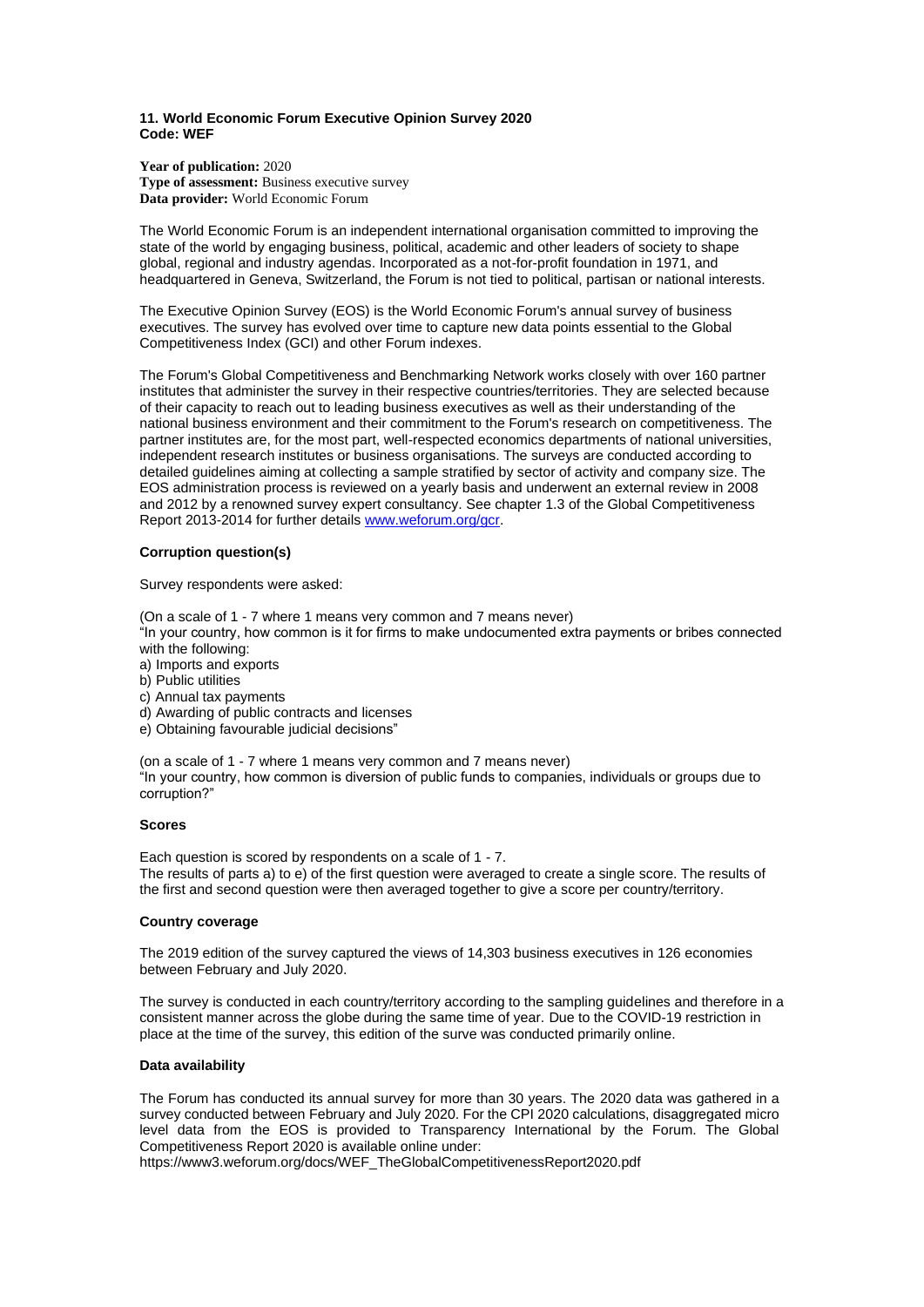## <span id="page-14-0"></span>**11. World Economic Forum Executive Opinion Survey 2020 Code: WEF**

**Year of publication:** 2020 **Type of assessment:** Business executive survey **Data provider:** World Economic Forum

The World Economic Forum is an independent international organisation committed to improving the state of the world by engaging business, political, academic and other leaders of society to shape global, regional and industry agendas. Incorporated as a not-for-profit foundation in 1971, and headquartered in Geneva, Switzerland, the Forum is not tied to political, partisan or national interests.

The Executive Opinion Survey (EOS) is the World Economic Forum's annual survey of business executives. The survey has evolved over time to capture new data points essential to the Global Competitiveness Index (GCI) and other Forum indexes.

The Forum's Global Competitiveness and Benchmarking Network works closely with over 160 partner institutes that administer the survey in their respective countries/territories. They are selected because of their capacity to reach out to leading business executives as well as their understanding of the national business environment and their commitment to the Forum's research on competitiveness. The partner institutes are, for the most part, well-respected economics departments of national universities, independent research institutes or business organisations. The surveys are conducted according to detailed guidelines aiming at collecting a sample stratified by sector of activity and company size. The EOS administration process is reviewed on a yearly basis and underwent an external review in 2008 and 2012 by a renowned survey expert consultancy. See chapter 1.3 of the Global Competitiveness Report 2013-2014 for further details [www.weforum.org/gcr.](http://www.weforum.org/gcr)

## **Corruption question(s)**

Survey respondents were asked:

(On a scale of 1 - 7 where 1 means very common and 7 means never)

"In your country, how common is it for firms to make undocumented extra payments or bribes connected with the following:

- a) Imports and exports
- b) Public utilities
- c) Annual tax payments
- d) Awarding of public contracts and licenses
- e) Obtaining favourable judicial decisions"

(on a scale of 1 - 7 where 1 means very common and 7 means never) "In your country, how common is diversion of public funds to companies, individuals or groups due to corruption?"

## **Scores**

Each question is scored by respondents on a scale of 1 - 7. The results of parts a) to e) of the first question were averaged to create a single score. The results of the first and second question were then averaged together to give a score per country/territory.

## **Country coverage**

The 2019 edition of the survey captured the views of 14,303 business executives in 126 economies between February and July 2020.

The survey is conducted in each country/territory according to the sampling guidelines and therefore in a consistent manner across the globe during the same time of year. Due to the COVID-19 restriction in place at the time of the survey, this edition of the surve was conducted primarily online.

## **Data availability**

The Forum has conducted its annual survey for more than 30 years. The 2020 data was gathered in a survey conducted between February and July 2020. For the CPI 2020 calculations, disaggregated micro level data from the EOS is provided to Transparency International by the Forum. The Global Competitiveness Report 2020 is available online under:

https://www3.weforum.org/docs/WEF\_TheGlobalCompetitivenessReport2020.pdf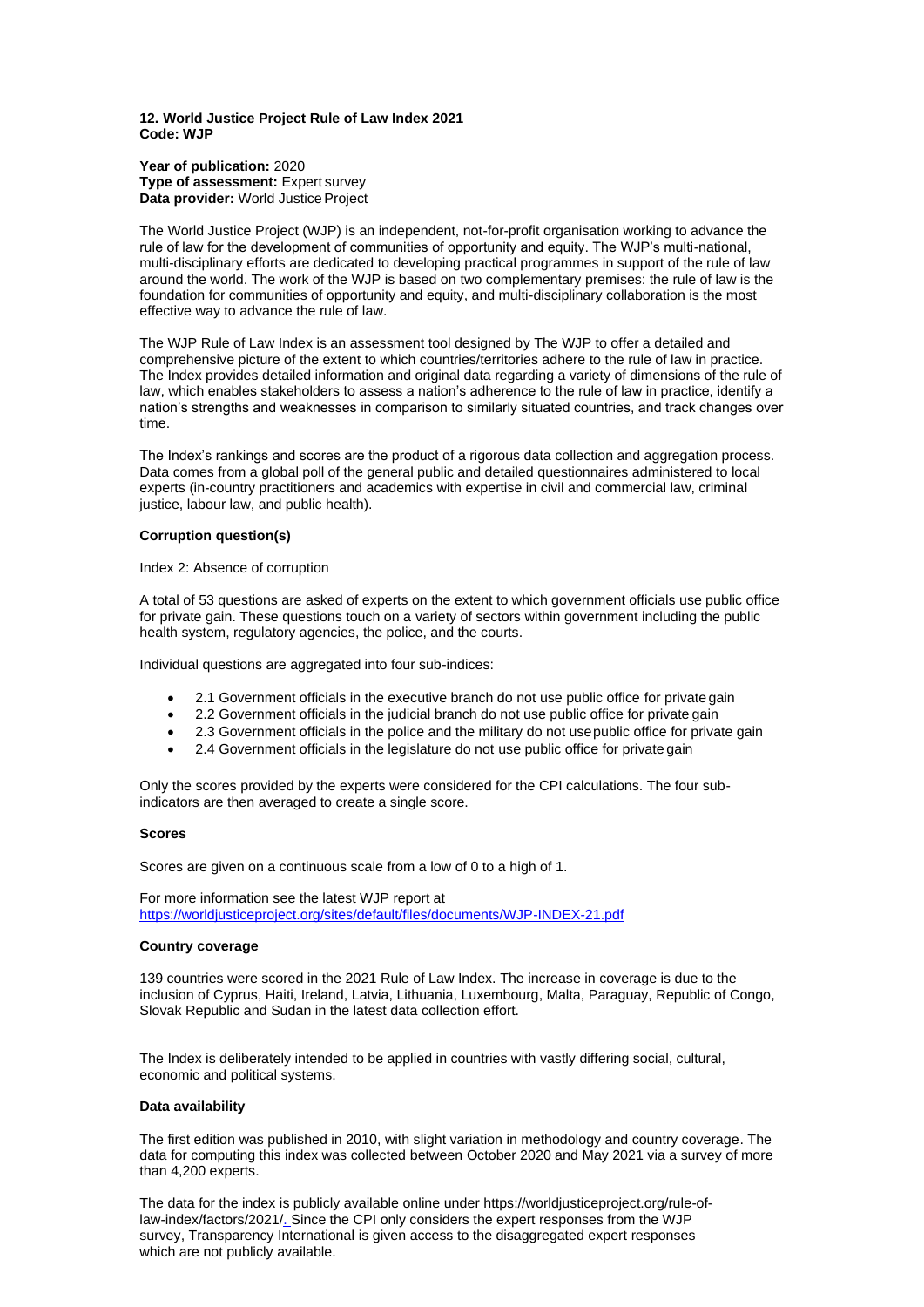#### <span id="page-15-0"></span>**12. World Justice Project Rule of Law Index 2021 Code: WJP**

**Year of publication:** 2020 **Type of assessment:** Expert survey **Data provider:** World Justice Project

The World Justice Project (WJP) is an independent, not-for-profit organisation working to advance the rule of law for the development of communities of opportunity and equity. The WJP's multi-national, multi-disciplinary efforts are dedicated to developing practical programmes in support of the rule of law around the world. The work of the WJP is based on two complementary premises: the rule of law is the foundation for communities of opportunity and equity, and multi-disciplinary collaboration is the most effective way to advance the rule of law.

The WJP Rule of Law Index is an assessment tool designed by The WJP to offer a detailed and comprehensive picture of the extent to which countries/territories adhere to the rule of law in practice. The Index provides detailed information and original data regarding a variety of dimensions of the rule of law, which enables stakeholders to assess a nation's adherence to the rule of law in practice, identify a nation's strengths and weaknesses in comparison to similarly situated countries, and track changes over time.

The Index's rankings and scores are the product of a rigorous data collection and aggregation process. Data comes from a global poll of the general public and detailed questionnaires administered to local experts (in-country practitioners and academics with expertise in civil and commercial law, criminal justice, labour law, and public health).

# **Corruption question(s)**

Index 2: Absence of corruption

A total of 53 questions are asked of experts on the extent to which government officials use public office for private gain. These questions touch on a variety of sectors within government including the public health system, regulatory agencies, the police, and the courts.

Individual questions are aggregated into four sub-indices:

- 2.1 Government officials in the executive branch do not use public office for private gain
- 2.2 Government officials in the judicial branch do not use public office for private gain
- 2.3 Government officials in the police and the military do not usepublic office for private gain
- 2.4 Government officials in the legislature do not use public office for private gain

Only the scores provided by the experts were considered for the CPI calculations. The four subindicators are then averaged to create a single score.

## **Scores**

Scores are given on a continuous scale from a low of 0 to a high of 1.

For more information see the latest WJP report at <https://worldjusticeproject.org/sites/default/files/documents/WJP-INDEX-21.pdf>

## **Country coverage**

139 countries were scored in the 2021 Rule of Law Index. The increase in coverage is due to the inclusion of Cyprus, Haiti, Ireland, Latvia, Lithuania, Luxembourg, Malta, Paraguay, Republic of Congo, Slovak Republic and Sudan in the latest data collection effort.

The Index is deliberately intended to be applied in countries with vastly differing social, cultural, economic and political systems.

## **Data availability**

The first edition was published in 2010, with slight variation in methodology and country coverage. The data for computing this index was collected between October 2020 and May 2021 via a survey of more than 4,200 experts.

The data for the index is publicly available online under https://worldjusticeproject.org/rule-oflaw-index/factors/202[1/. S](http://data.worldjusticeproject.org/)ince the CPI only considers the expert responses from the WJP survey, Transparency International is given access to the disaggregated expert responses which are not publicly available.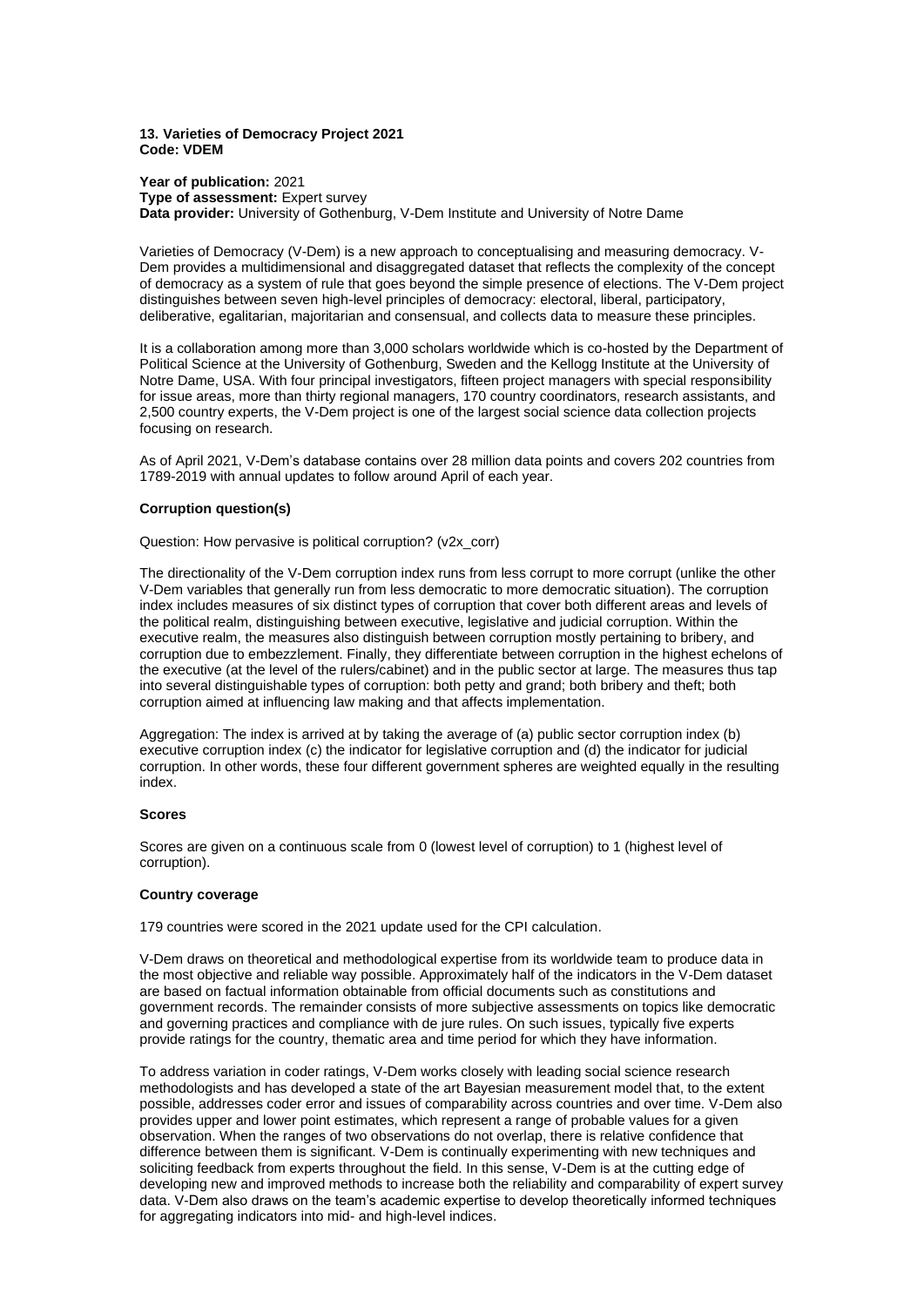## <span id="page-16-0"></span>**13. Varieties of Democracy Project 2021 Code: VDEM**

**Year of publication:** 2021 **Type of assessment:** Expert survey **Data provider:** University of Gothenburg, V-Dem Institute and University of Notre Dame

Varieties of Democracy (V-Dem) is a new approach to conceptualising and measuring democracy. V-Dem provides a multidimensional and disaggregated dataset that reflects the complexity of the concept of democracy as a system of rule that goes beyond the simple presence of elections. The V-Dem project distinguishes between seven high-level principles of democracy: electoral, liberal, participatory, deliberative, egalitarian, majoritarian and consensual, and collects data to measure these principles.

It is a collaboration among more than 3,000 scholars worldwide which is co-hosted by the Department of Political Science at the University of Gothenburg, Sweden and the Kellogg Institute at the University of Notre Dame, USA. With four principal investigators, fifteen project managers with special responsibility for issue areas, more than thirty regional managers, 170 country coordinators, research assistants, and 2,500 country experts, the V-Dem project is one of the largest social science data collection projects focusing on research.

As of April 2021, V-Dem's database contains over 28 million data points and covers 202 countries from 1789-2019 with annual updates to follow around April of each year.

# **Corruption question(s)**

Question: How pervasive is political corruption? (v2x\_corr)

The directionality of the V-Dem corruption index runs from less corrupt to more corrupt (unlike the other V-Dem variables that generally run from less democratic to more democratic situation). The corruption index includes measures of six distinct types of corruption that cover both different areas and levels of the political realm, distinguishing between executive, legislative and judicial corruption. Within the executive realm, the measures also distinguish between corruption mostly pertaining to bribery, and corruption due to embezzlement. Finally, they differentiate between corruption in the highest echelons of the executive (at the level of the rulers/cabinet) and in the public sector at large. The measures thus tap into several distinguishable types of corruption: both petty and grand; both bribery and theft; both corruption aimed at influencing law making and that affects implementation.

Aggregation: The index is arrived at by taking the average of (a) public sector corruption index (b) executive corruption index (c) the indicator for legislative corruption and (d) the indicator for judicial corruption. In other words, these four different government spheres are weighted equally in the resulting index.

## **Scores**

Scores are given on a continuous scale from 0 (lowest level of corruption) to 1 (highest level of corruption).

## **Country coverage**

179 countries were scored in the 2021 update used for the CPI calculation.

V-Dem draws on theoretical and methodological expertise from its worldwide team to produce data in the most objective and reliable way possible. Approximately half of the indicators in the V-Dem dataset are based on factual information obtainable from official documents such as constitutions and government records. The remainder consists of more subjective assessments on topics like democratic and governing practices and compliance with de jure rules. On such issues, typically five experts provide ratings for the country, thematic area and time period for which they have information.

To address variation in coder ratings, V-Dem works closely with leading social science research methodologists and has developed a state of the art Bayesian measurement model that, to the extent possible, addresses coder error and issues of comparability across countries and over time. V-Dem also provides upper and lower point estimates, which represent a range of probable values for a given observation. When the ranges of two observations do not overlap, there is relative confidence that difference between them is significant. V-Dem is continually experimenting with new techniques and soliciting feedback from experts throughout the field. In this sense, V-Dem is at the cutting edge of developing new and improved methods to increase both the reliability and comparability of expert survey data. V-Dem also draws on the team's academic expertise to develop theoretically informed techniques for aggregating indicators into mid- and high-level indices.